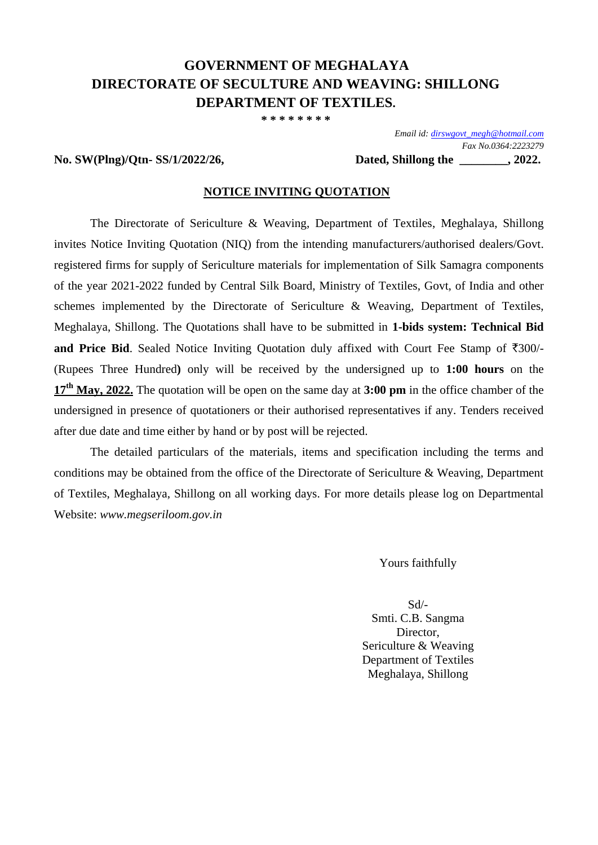# **GOVERNMENT OF MEGHALAYA DIRECTORATE OF SECULTURE AND WEAVING: SHILLONG DEPARTMENT OF TEXTILES.**

**\* \* \* \* \* \* \* \*** 

*Email id: [dirswgovt\\_megh@hotmail.com](mailto:dirswgovt_megh@hotmail.com) Fax No.0364:2223279* **No. SW(Plng)/Qtn- SS/1/2022/26, Dated, Shillong the \_\_\_\_\_\_\_\_, 2022.**

#### **NOTICE INVITING QUOTATION**

The Directorate of Sericulture & Weaving, Department of Textiles, Meghalaya, Shillong invites Notice Inviting Quotation (NIQ) from the intending manufacturers/authorised dealers/Govt. registered firms for supply of Sericulture materials for implementation of Silk Samagra components of the year 2021-2022 funded by Central Silk Board, Ministry of Textiles, Govt, of India and other schemes implemented by the Directorate of Sericulture & Weaving, Department of Textiles, Meghalaya, Shillong. The Quotations shall have to be submitted in **1-bids system: Technical Bid and Price Bid.** Sealed Notice Inviting Quotation duly affixed with Court Fee Stamp of  $\overline{\xi}300$ /-(Rupees Three Hundred**)** only will be received by the undersigned up to **1:00 hours** on the **17th May, 2022.** The quotation will be open on the same day at **3:00 pm** in the office chamber of the undersigned in presence of quotationers or their authorised representatives if any. Tenders received after due date and time either by hand or by post will be rejected.

The detailed particulars of the materials, items and specification including the terms and conditions may be obtained from the office of the Directorate of Sericulture & Weaving, Department of Textiles, Meghalaya, Shillong on all working days. For more details please log on Departmental Website: *www.megseriloom.gov.in*

Yours faithfully

Sd/-

Smti. C.B. Sangma Director, Sericulture & Weaving Department of Textiles Meghalaya, Shillong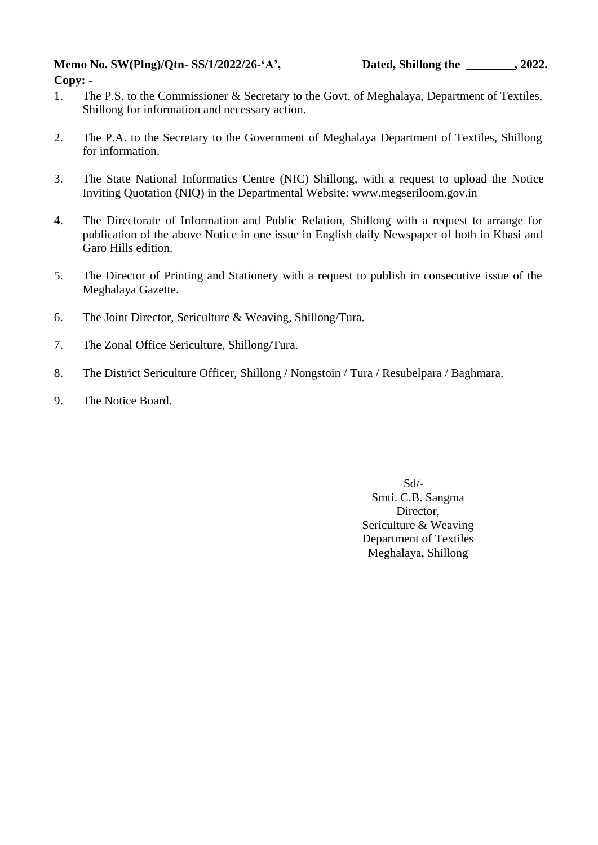# **Memo No. SW(Plng)/Qtn- SS/1/2022/26-'A', Dated, Shillong the \_\_\_\_\_\_\_\_, 2022.**

# **Copy: -**

- 1. The P.S. to the Commissioner & Secretary to the Govt. of Meghalaya, Department of Textiles, Shillong for information and necessary action.
- 2. The P.A. to the Secretary to the Government of Meghalaya Department of Textiles, Shillong for information.
- 3. The State National Informatics Centre (NIC) Shillong, with a request to upload the Notice Inviting Quotation (NIQ) in the Departmental Website: www.megseriloom.gov.in
- 4. The Directorate of Information and Public Relation, Shillong with a request to arrange for publication of the above Notice in one issue in English daily Newspaper of both in Khasi and Garo Hills edition.
- 5. The Director of Printing and Stationery with a request to publish in consecutive issue of the Meghalaya Gazette.
- 6. The Joint Director, Sericulture & Weaving, Shillong/Tura.
- 7. The Zonal Office Sericulture, Shillong/Tura.
- 8. The District Sericulture Officer, Shillong / Nongstoin / Tura / Resubelpara / Baghmara.
- 9. The Notice Board.

 Sd/- Smti. C.B. Sangma Director, Sericulture & Weaving Department of Textiles Meghalaya, Shillong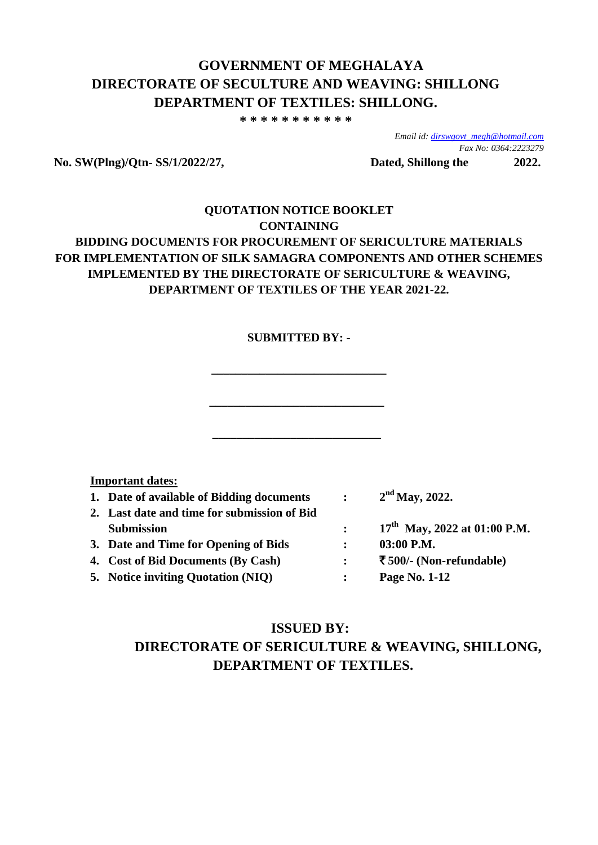# **GOVERNMENT OF MEGHALAYA DIRECTORATE OF SECULTURE AND WEAVING: SHILLONG DEPARTMENT OF TEXTILES: SHILLONG.**

**\* \* \* \* \* \* \* \* \* \* \***

*Email id: [dirswgovt\\_megh@hotmail.com](mailto:dirswgovt_megh@hotmail.com) Fax No: 0364:2223279*

**No. SW(Plng)/Qtn- SS/1/2022/27, Dated, Shillong the 2022.**

# **QUOTATION NOTICE BOOKLET CONTAINING BIDDING DOCUMENTS FOR PROCUREMENT OF SERICULTURE MATERIALS FOR IMPLEMENTATION OF SILK SAMAGRA COMPONENTS AND OTHER SCHEMES IMPLEMENTED BY THE DIRECTORATE OF SERICULTURE & WEAVING, DEPARTMENT OF TEXTILES OF THE YEAR 2021-22.**

#### **SUBMITTED BY: -**

**\_\_\_\_\_\_\_\_\_\_\_\_\_\_\_\_\_\_\_\_\_\_\_\_\_\_\_\_\_**

**\_\_\_\_\_\_\_\_\_\_\_\_\_\_\_\_\_\_\_\_\_\_\_\_\_\_\_\_\_** 

**\_\_\_\_\_\_\_\_\_\_\_\_\_\_\_\_\_\_\_\_\_\_\_\_\_\_\_\_**

**Important dates:**

| 1. Date of available of Bidding documents   | $\mathbf{r}$   | $2nd$ May, 2022.                    |
|---------------------------------------------|----------------|-------------------------------------|
| 2. Last date and time for submission of Bid |                |                                     |
| <b>Submission</b>                           |                | $17th$ May, 2022 at 01:00 P.M.      |
| 3. Date and Time for Opening of Bids        | $\mathbf{r}$   | $03:00$ P.M.                        |
| 4. Cost of Bid Documents (By Cash)          | $\mathbf{L}$   | $\bar{\tau}$ 500/- (Non-refundable) |
| 5. Notice inviting Quotation (NIQ)          | $\ddot{\cdot}$ | Page No. 1-12                       |

#### **ISSUED BY:**

# **DIRECTORATE OF SERICULTURE & WEAVING, SHILLONG, DEPARTMENT OF TEXTILES.**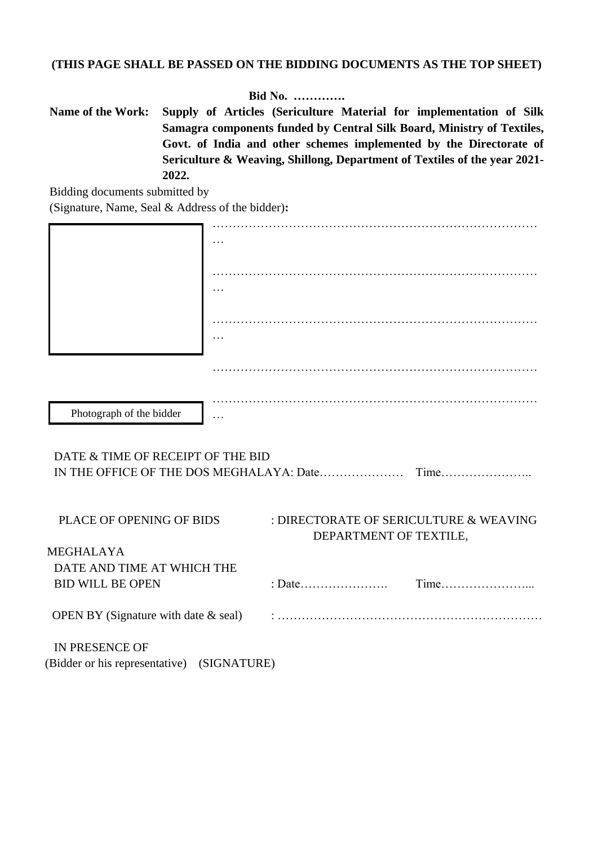#### **(THIS PAGE SHALL BE PASSED ON THE BIDDING DOCUMENTS AS THE TOP SHEET)**

**Bid No. ………….**

**Name of the Work: Supply of Articles (Sericulture Material for implementation of Silk Samagra components funded by Central Silk Board, Ministry of Textiles, Govt. of India and other schemes implemented by the Directorate of Sericulture & Weaving, Shillong, Department of Textiles of the year 2021- 2022.**

Bidding documents submitted by

(Signature, Name, Seal & Address of the bidder)**:**

| Photograph of the bidder                       | $\cdots$                                                         |
|------------------------------------------------|------------------------------------------------------------------|
| DATE & TIME OF RECEIPT OF THE BID              | Time                                                             |
| PLACE OF OPENING OF BIDS                       | : DIRECTORATE OF SERICULTURE & WEAVING<br>DEPARTMENT OF TEXTILE, |
| <b>MEGHALAYA</b>                               |                                                                  |
| DATE AND TIME AT WHICH THE                     |                                                                  |
| <b>BID WILL BE OPEN</b>                        | Time                                                             |
| <b>OPEN BY</b> (Signature with date $\&$ seal) |                                                                  |
| IN PRESENCE OF                                 |                                                                  |
| (Bidder or his representative) (SIGNATURE)     |                                                                  |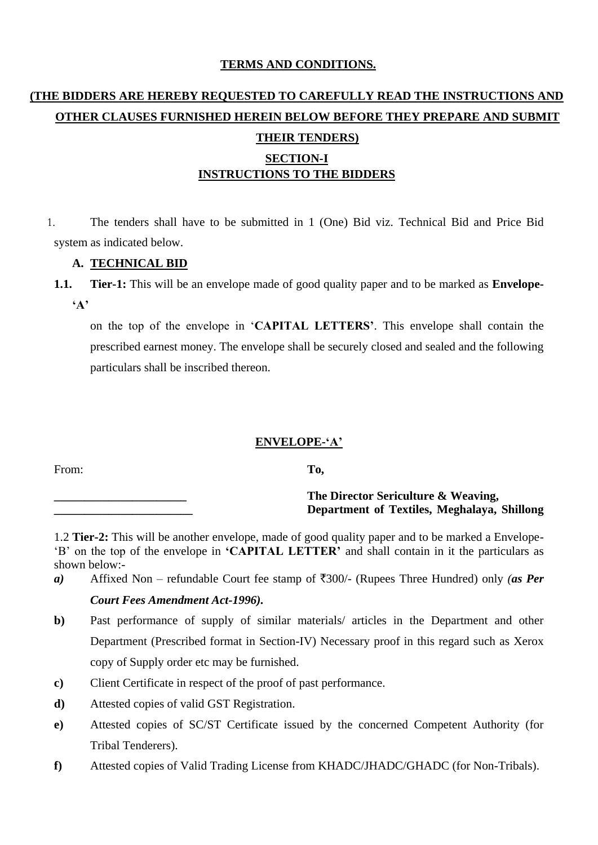### **TERMS AND CONDITIONS.**

# **(THE BIDDERS ARE HEREBY REQUESTED TO CAREFULLY READ THE INSTRUCTIONS AND OTHER CLAUSES FURNISHED HEREIN BELOW BEFORE THEY PREPARE AND SUBMIT THEIR TENDERS) SECTION-I INSTRUCTIONS TO THE BIDDERS**

1. The tenders shall have to be submitted in 1 (One) Bid viz. Technical Bid and Price Bid system as indicated below.

### **A. TECHNICAL BID**

**1.1. Tier-1:** This will be an envelope made of good quality paper and to be marked as **Envelope- 'A'**

on the top of the envelope in '**CAPITAL LETTERS'**. This envelope shall contain the prescribed earnest money. The envelope shall be securely closed and sealed and the following particulars shall be inscribed thereon.

#### **ENVELOPE-'A'**

From: To,

### **\_\_\_\_\_\_\_\_\_\_\_\_\_\_\_\_\_\_\_\_\_\_ The Director Sericulture & Weaving, \_\_\_\_\_\_\_\_\_\_\_\_\_\_\_\_\_\_\_\_\_\_\_ Department of Textiles, Meghalaya, Shillong**

- *a*) Affixed Non refundable Court fee stamp of  $\overline{\xi}300$ /- (Rupees Three Hundred) only *(as Per Court Fees Amendment Act-1996).*
- **b)** Past performance of supply of similar materials/ articles in the Department and other Department (Prescribed format in Section-IV) Necessary proof in this regard such as Xerox copy of Supply order etc may be furnished.
- **c)** Client Certificate in respect of the proof of past performance.
- **d)** Attested copies of valid GST Registration.
- **e)** Attested copies of SC/ST Certificate issued by the concerned Competent Authority (for Tribal Tenderers).
- **f)** Attested copies of Valid Trading License from KHADC/JHADC/GHADC (for Non-Tribals).

<sup>1.2</sup> **Tier-2:** This will be another envelope, made of good quality paper and to be marked a Envelope- 'B' on the top of the envelope in **'CAPITAL LETTER'** and shall contain in it the particulars as shown below:-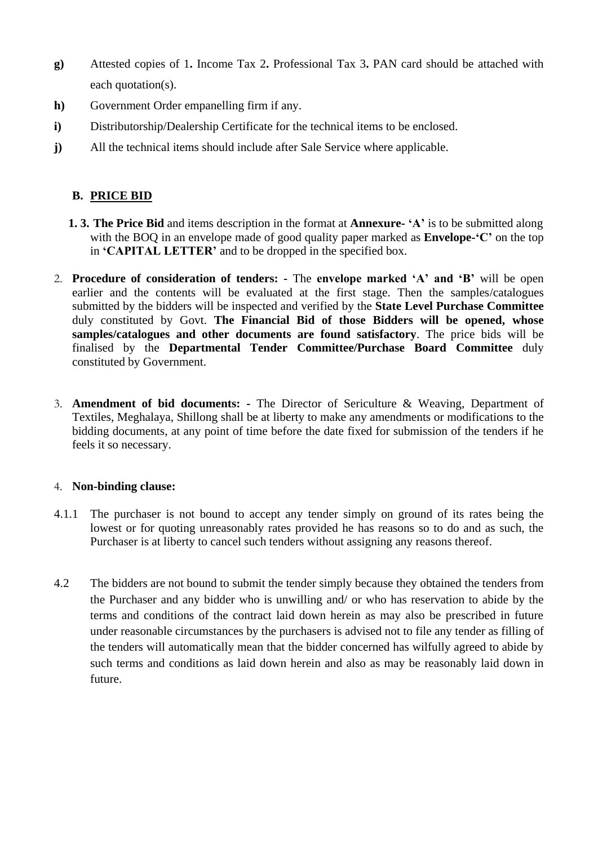- **g)** Attested copies of 1**.** Income Tax 2**.** Professional Tax 3**.** PAN card should be attached with each quotation(s).
- **h)** Government Order empanelling firm if any.
- **i)** Distributorship/Dealership Certificate for the technical items to be enclosed.
- **j)** All the technical items should include after Sale Service where applicable.

# **B. PRICE BID**

- **1. 3. The Price Bid** and items description in the format at **Annexure- 'A'** is to be submitted along with the BOQ in an envelope made of good quality paper marked as **Envelope-'C'** on the top in **'CAPITAL LETTER'** and to be dropped in the specified box.
- 2. **Procedure of consideration of tenders: -** The **envelope marked 'A' and 'B'** will be open earlier and the contents will be evaluated at the first stage. Then the samples/catalogues submitted by the bidders will be inspected and verified by the **State Level Purchase Committee** duly constituted by Govt. **The Financial Bid of those Bidders will be opened, whose samples/catalogues and other documents are found satisfactory**. The price bids will be finalised by the **Departmental Tender Committee/Purchase Board Committee** duly constituted by Government.
- 3. **Amendment of bid documents: -** The Director of Sericulture & Weaving, Department of Textiles, Meghalaya, Shillong shall be at liberty to make any amendments or modifications to the bidding documents, at any point of time before the date fixed for submission of the tenders if he feels it so necessary.

# 4. **Non-binding clause:**

- 4.1.1 The purchaser is not bound to accept any tender simply on ground of its rates being the lowest or for quoting unreasonably rates provided he has reasons so to do and as such, the Purchaser is at liberty to cancel such tenders without assigning any reasons thereof.
- 4.2 The bidders are not bound to submit the tender simply because they obtained the tenders from the Purchaser and any bidder who is unwilling and/ or who has reservation to abide by the terms and conditions of the contract laid down herein as may also be prescribed in future under reasonable circumstances by the purchasers is advised not to file any tender as filling of the tenders will automatically mean that the bidder concerned has wilfully agreed to abide by such terms and conditions as laid down herein and also as may be reasonably laid down in future.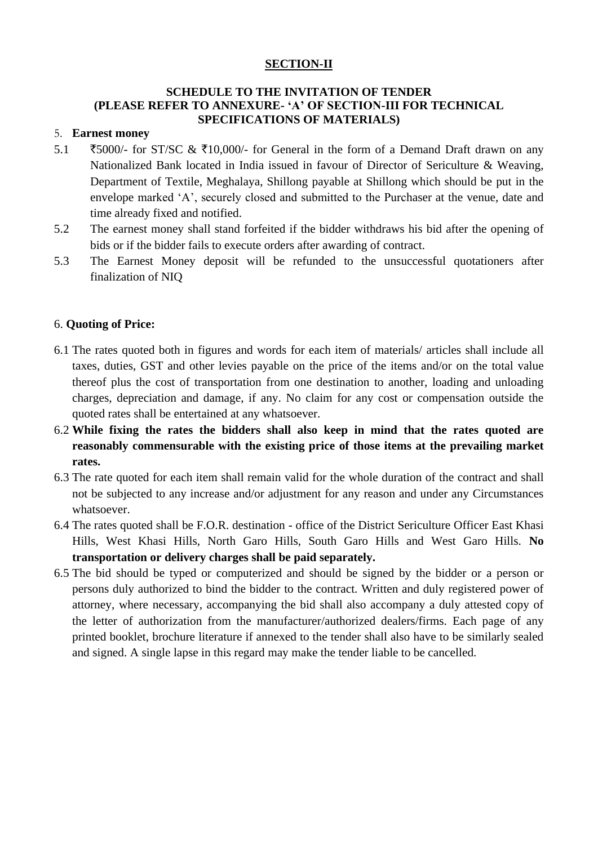#### **SECTION-II**

### **SCHEDULE TO THE INVITATION OF TENDER (PLEASE REFER TO ANNEXURE- 'A' OF SECTION-III FOR TECHNICAL SPECIFICATIONS OF MATERIALS)**

#### 5. **Earnest money**

- 5.1  $\overline{5000}$ /- for ST/SC &  $\overline{510,000}$ /- for General in the form of a Demand Draft drawn on any Nationalized Bank located in India issued in favour of Director of Sericulture & Weaving, Department of Textile, Meghalaya, Shillong payable at Shillong which should be put in the envelope marked 'A', securely closed and submitted to the Purchaser at the venue, date and time already fixed and notified.
- 5.2 The earnest money shall stand forfeited if the bidder withdraws his bid after the opening of bids or if the bidder fails to execute orders after awarding of contract.
- 5.3 The Earnest Money deposit will be refunded to the unsuccessful quotationers after finalization of NIQ

### 6. **Quoting of Price:**

- 6.1 The rates quoted both in figures and words for each item of materials/ articles shall include all taxes, duties, GST and other levies payable on the price of the items and/or on the total value thereof plus the cost of transportation from one destination to another, loading and unloading charges, depreciation and damage, if any. No claim for any cost or compensation outside the quoted rates shall be entertained at any whatsoever.
- 6.2 **While fixing the rates the bidders shall also keep in mind that the rates quoted are reasonably commensurable with the existing price of those items at the prevailing market rates.**
- 6.3 The rate quoted for each item shall remain valid for the whole duration of the contract and shall not be subjected to any increase and/or adjustment for any reason and under any Circumstances whatsoever.
- 6.4 The rates quoted shall be F.O.R. destination office of the District Sericulture Officer East Khasi Hills, West Khasi Hills, North Garo Hills, South Garo Hills and West Garo Hills. **No transportation or delivery charges shall be paid separately.**
- 6.5 The bid should be typed or computerized and should be signed by the bidder or a person or persons duly authorized to bind the bidder to the contract. Written and duly registered power of attorney, where necessary, accompanying the bid shall also accompany a duly attested copy of the letter of authorization from the manufacturer/authorized dealers/firms. Each page of any printed booklet, brochure literature if annexed to the tender shall also have to be similarly sealed and signed. A single lapse in this regard may make the tender liable to be cancelled.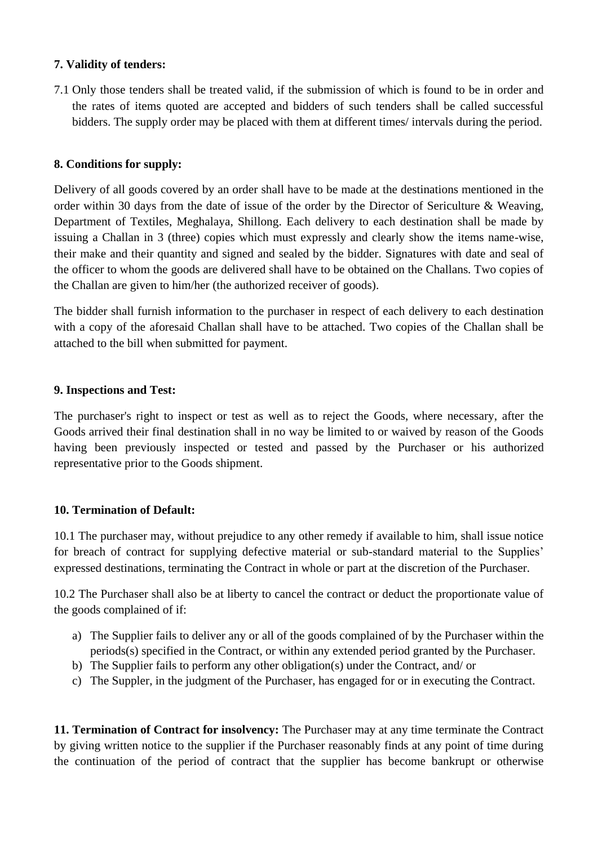# **7. Validity of tenders:**

7.1 Only those tenders shall be treated valid, if the submission of which is found to be in order and the rates of items quoted are accepted and bidders of such tenders shall be called successful bidders. The supply order may be placed with them at different times/ intervals during the period.

# **8. Conditions for supply:**

Delivery of all goods covered by an order shall have to be made at the destinations mentioned in the order within 30 days from the date of issue of the order by the Director of Sericulture & Weaving, Department of Textiles, Meghalaya, Shillong. Each delivery to each destination shall be made by issuing a Challan in 3 (three) copies which must expressly and clearly show the items name-wise, their make and their quantity and signed and sealed by the bidder. Signatures with date and seal of the officer to whom the goods are delivered shall have to be obtained on the Challans. Two copies of the Challan are given to him/her (the authorized receiver of goods).

The bidder shall furnish information to the purchaser in respect of each delivery to each destination with a copy of the aforesaid Challan shall have to be attached. Two copies of the Challan shall be attached to the bill when submitted for payment.

### **9. Inspections and Test:**

The purchaser's right to inspect or test as well as to reject the Goods, where necessary, after the Goods arrived their final destination shall in no way be limited to or waived by reason of the Goods having been previously inspected or tested and passed by the Purchaser or his authorized representative prior to the Goods shipment.

#### **10. Termination of Default:**

10.1 The purchaser may, without prejudice to any other remedy if available to him, shall issue notice for breach of contract for supplying defective material or sub-standard material to the Supplies' expressed destinations, terminating the Contract in whole or part at the discretion of the Purchaser.

10.2 The Purchaser shall also be at liberty to cancel the contract or deduct the proportionate value of the goods complained of if:

- a) The Supplier fails to deliver any or all of the goods complained of by the Purchaser within the periods(s) specified in the Contract, or within any extended period granted by the Purchaser.
- b) The Supplier fails to perform any other obligation(s) under the Contract, and/ or
- c) The Suppler, in the judgment of the Purchaser, has engaged for or in executing the Contract.

**11. Termination of Contract for insolvency:** The Purchaser may at any time terminate the Contract by giving written notice to the supplier if the Purchaser reasonably finds at any point of time during the continuation of the period of contract that the supplier has become bankrupt or otherwise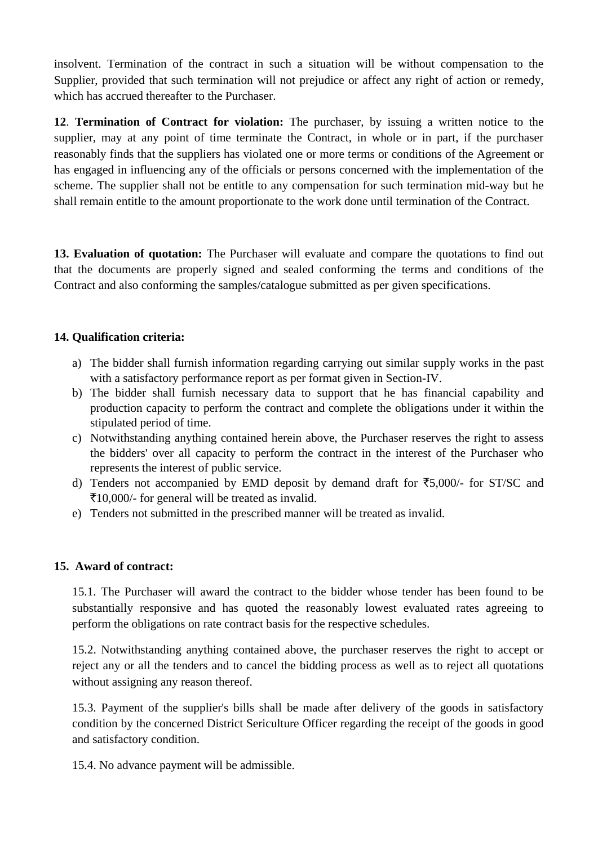insolvent. Termination of the contract in such a situation will be without compensation to the Supplier, provided that such termination will not prejudice or affect any right of action or remedy, which has accrued thereafter to the Purchaser.

**12**. **Termination of Contract for violation:** The purchaser, by issuing a written notice to the supplier, may at any point of time terminate the Contract, in whole or in part, if the purchaser reasonably finds that the suppliers has violated one or more terms or conditions of the Agreement or has engaged in influencing any of the officials or persons concerned with the implementation of the scheme. The supplier shall not be entitle to any compensation for such termination mid-way but he shall remain entitle to the amount proportionate to the work done until termination of the Contract.

**13. Evaluation of quotation:** The Purchaser will evaluate and compare the quotations to find out that the documents are properly signed and sealed conforming the terms and conditions of the Contract and also conforming the samples/catalogue submitted as per given specifications.

# **14. Qualification criteria:**

- a) The bidder shall furnish information regarding carrying out similar supply works in the past with a satisfactory performance report as per format given in Section-IV.
- b) The bidder shall furnish necessary data to support that he has financial capability and production capacity to perform the contract and complete the obligations under it within the stipulated period of time.
- c) Notwithstanding anything contained herein above, the Purchaser reserves the right to assess the bidders' over all capacity to perform the contract in the interest of the Purchaser who represents the interest of public service.
- d) Tenders not accompanied by EMD deposit by demand draft for  $\overline{55,000}$ /- for ST/SC and  $\text{\textsterling}10,000$ /- for general will be treated as invalid.
- e) Tenders not submitted in the prescribed manner will be treated as invalid.

# **15. Award of contract:**

15.1. The Purchaser will award the contract to the bidder whose tender has been found to be substantially responsive and has quoted the reasonably lowest evaluated rates agreeing to perform the obligations on rate contract basis for the respective schedules.

15.2. Notwithstanding anything contained above, the purchaser reserves the right to accept or reject any or all the tenders and to cancel the bidding process as well as to reject all quotations without assigning any reason thereof.

15.3. Payment of the supplier's bills shall be made after delivery of the goods in satisfactory condition by the concerned District Sericulture Officer regarding the receipt of the goods in good and satisfactory condition.

15.4. No advance payment will be admissible.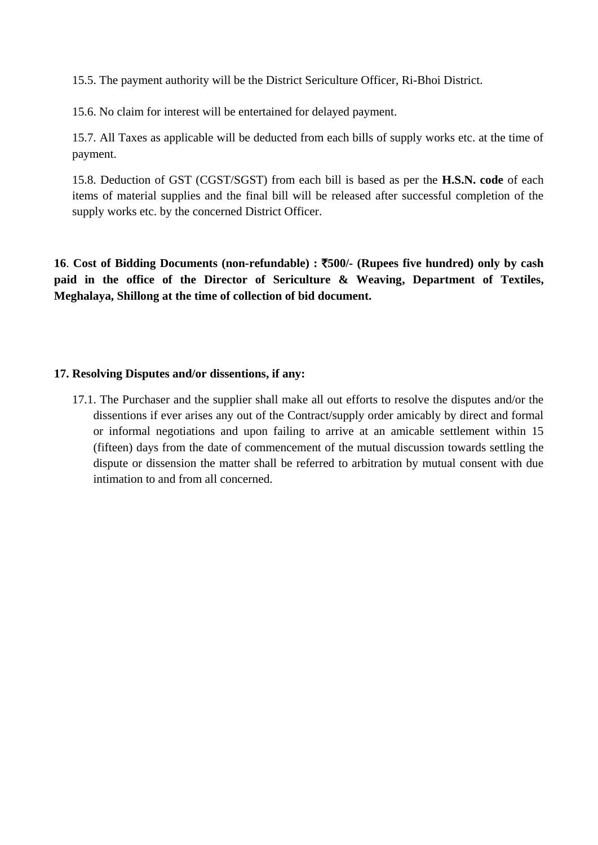15.5. The payment authority will be the District Sericulture Officer, Ri-Bhoi District.

15.6. No claim for interest will be entertained for delayed payment.

15.7. All Taxes as applicable will be deducted from each bills of supply works etc. at the time of payment.

15.8. Deduction of GST (CGST/SGST) from each bill is based as per the **H.S.N. code** of each items of material supplies and the final bill will be released after successful completion of the supply works etc. by the concerned District Officer.

**16**. **Cost of Bidding Documents (non-refundable) :** `**500/- (Rupees five hundred) only by cash paid in the office of the Director of Sericulture & Weaving, Department of Textiles, Meghalaya, Shillong at the time of collection of bid document.**

#### **17. Resolving Disputes and/or dissentions, if any:**

17.1. The Purchaser and the supplier shall make all out efforts to resolve the disputes and/or the dissentions if ever arises any out of the Contract/supply order amicably by direct and formal or informal negotiations and upon failing to arrive at an amicable settlement within 15 (fifteen) days from the date of commencement of the mutual discussion towards settling the dispute or dissension the matter shall be referred to arbitration by mutual consent with due intimation to and from all concerned.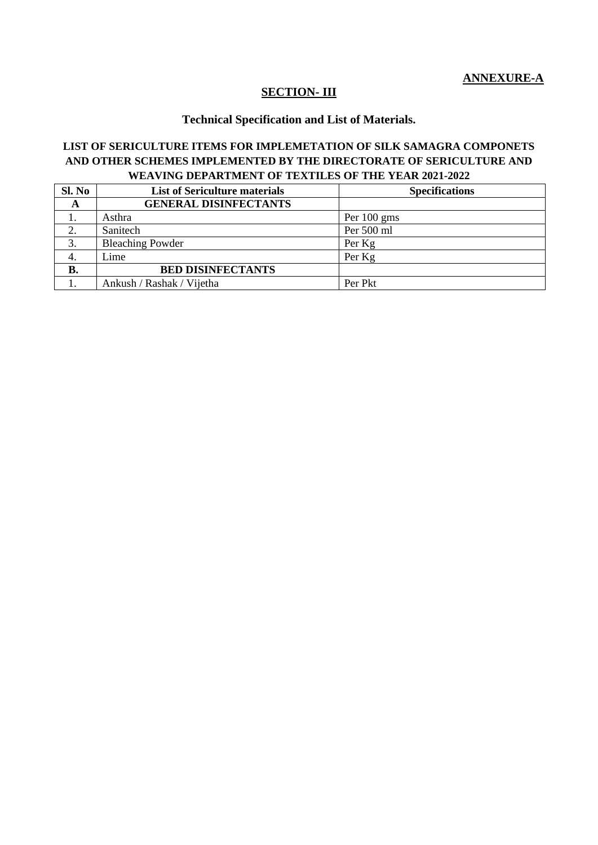# **SECTION- III**

# **Technical Specification and List of Materials.**

# **LIST OF SERICULTURE ITEMS FOR IMPLEMETATION OF SILK SAMAGRA COMPONETS AND OTHER SCHEMES IMPLEMENTED BY THE DIRECTORATE OF SERICULTURE AND WEAVING DEPARTMENT OF TEXTILES OF THE YEAR 2021-2022**

| Sl. No    | <b>List of Sericulture materials</b> | <b>Specifications</b> |
|-----------|--------------------------------------|-----------------------|
| A         | <b>GENERAL DISINFECTANTS</b>         |                       |
|           | Asthra                               | Per 100 gms           |
| 2.        | Sanitech                             | Per 500 ml            |
| 3.        | <b>Bleaching Powder</b>              | Per Kg                |
| 4.        | Lime                                 | Per Kg                |
| <b>B.</b> | <b>BED DISINFECTANTS</b>             |                       |
|           | Ankush / Rashak / Vijetha            | Per Pkt               |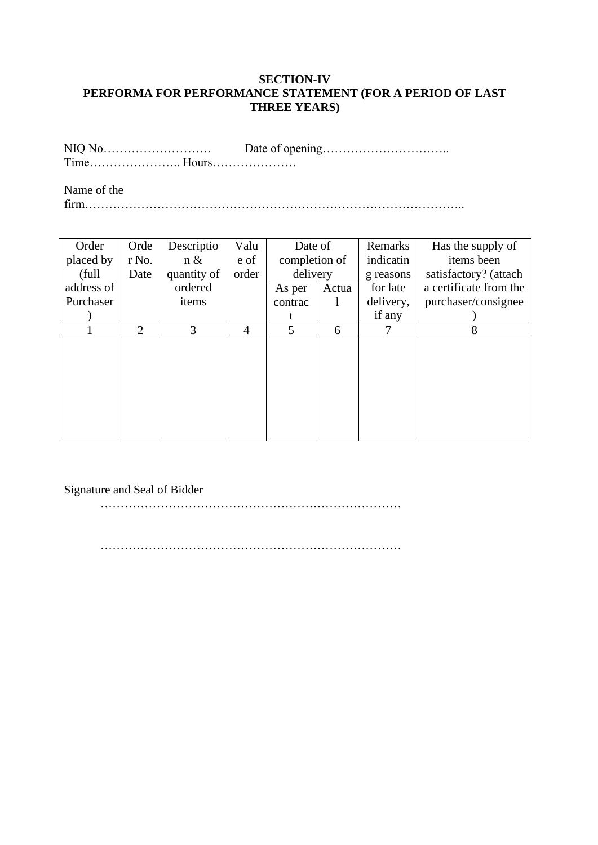### **SECTION-IV PERFORMA FOR PERFORMANCE STATEMENT (FOR A PERIOD OF LAST THREE YEARS)**

NIQ No……………………… Date of opening………………………….. Time………………….. Hours…………………

Name of the

firm…………………………………………………………………………………..

| Order      | Orde  | Descriptio  | Valu  | Date of       |       | Remarks   | Has the supply of      |
|------------|-------|-------------|-------|---------------|-------|-----------|------------------------|
| placed by  | r No. | n &         | e of  | completion of |       | indicatin | items been             |
| (full)     | Date  | quantity of | order | delivery      |       | g reasons | satisfactory? (attach  |
| address of |       | ordered     |       | As per        | Actua | for late  | a certificate from the |
| Purchaser  |       | items       |       | contrac       | 1     | delivery, | purchaser/consignee    |
|            |       |             |       |               |       | if any    |                        |
|            | 2     | 3           | 4     | 5             | 6     | 7         | 8                      |
|            |       |             |       |               |       |           |                        |
|            |       |             |       |               |       |           |                        |
|            |       |             |       |               |       |           |                        |
|            |       |             |       |               |       |           |                        |
|            |       |             |       |               |       |           |                        |
|            |       |             |       |               |       |           |                        |
|            |       |             |       |               |       |           |                        |

Signature and Seal of Bidder

…………………………………………………………………

…………………………………………………………………